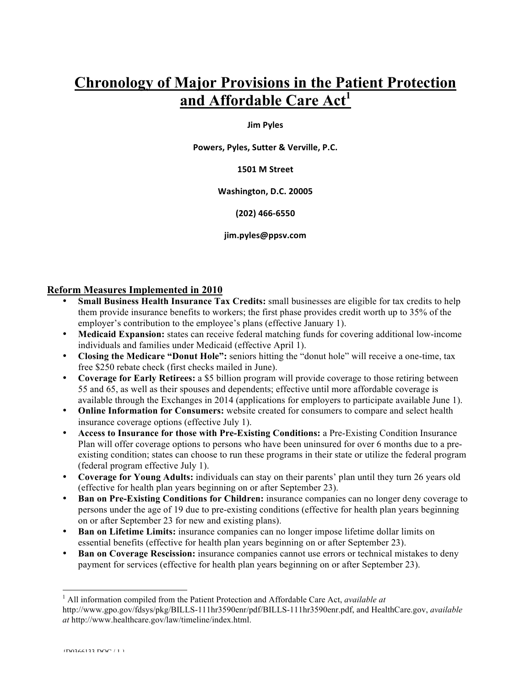# **Chronology of Major Provisions in the Patient Protection and Affordable Care Act<sup>1</sup>**

#### **Jim Pyles**

Powers, Pyles, Sutter & Verville, P.C.

#### **1501 M Street**

#### **Washington, D.C. 20005**

#### **(202) 466-6550**

#### jim.pyles@ppsv.com

### **Reform Measures Implemented in 2010**

- **Small Business Health Insurance Tax Credits:** small businesses are eligible for tax credits to help them provide insurance benefits to workers; the first phase provides credit worth up to 35% of the employer's contribution to the employee's plans (effective January 1).
- **Medicaid Expansion:** states can receive federal matching funds for covering additional low-income individuals and families under Medicaid (effective April 1).
- **Closing the Medicare "Donut Hole":** seniors hitting the "donut hole" will receive a one-time, tax free \$250 rebate check (first checks mailed in June).
- **Coverage for Early Retirees:** a \$5 billion program will provide coverage to those retiring between 55 and 65, as well as their spouses and dependents; effective until more affordable coverage is available through the Exchanges in 2014 (applications for employers to participate available June 1).
- **Online Information for Consumers:** website created for consumers to compare and select health insurance coverage options (effective July 1).
- **Access to Insurance for those with Pre-Existing Conditions:** a Pre-Existing Condition Insurance Plan will offer coverage options to persons who have been uninsured for over 6 months due to a preexisting condition; states can choose to run these programs in their state or utilize the federal program (federal program effective July 1).
- **Coverage for Young Adults:** individuals can stay on their parents' plan until they turn 26 years old (effective for health plan years beginning on or after September 23).
- **Ban on Pre-Existing Conditions for Children:** insurance companies can no longer deny coverage to persons under the age of 19 due to pre-existing conditions (effective for health plan years beginning on or after September 23 for new and existing plans).
- **Ban on Lifetime Limits:** insurance companies can no longer impose lifetime dollar limits on essential benefits (effective for health plan years beginning on or after September 23).
- **Ban on Coverage Rescission:** insurance companies cannot use errors or technical mistakes to deny payment for services (effective for health plan years beginning on or after September 23).

 $\frac{1}{1}$  All information compiled from the Patient Protection and Affordable Care Act, *available at*  http://www.gpo.gov/fdsys/pkg/BILLS-111hr3590enr/pdf/BILLS-111hr3590enr.pdf, and HealthCare.gov, *available at* http://www.healthcare.gov/law/timeline/index.html.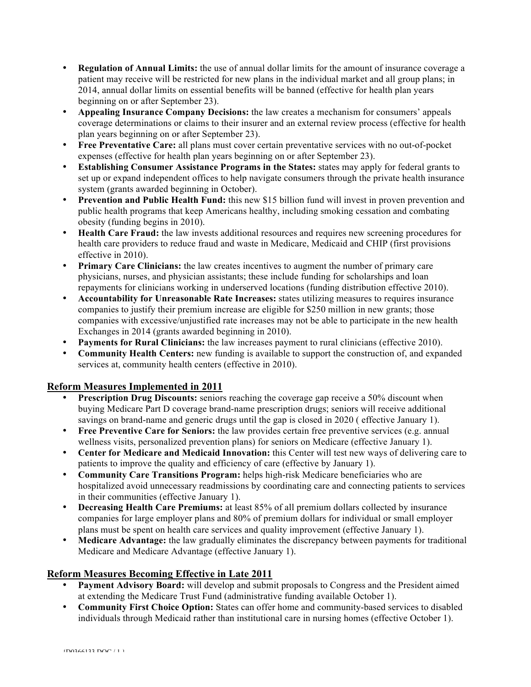- **Regulation of Annual Limits:** the use of annual dollar limits for the amount of insurance coverage a patient may receive will be restricted for new plans in the individual market and all group plans; in 2014, annual dollar limits on essential benefits will be banned (effective for health plan years beginning on or after September 23).
- **Appealing Insurance Company Decisions:** the law creates a mechanism for consumers' appeals coverage determinations or claims to their insurer and an external review process (effective for health plan years beginning on or after September 23).
- **Free Preventative Care:** all plans must cover certain preventative services with no out-of-pocket expenses (effective for health plan years beginning on or after September 23).
- **Establishing Consumer Assistance Programs in the States:** states may apply for federal grants to set up or expand independent offices to help navigate consumers through the private health insurance system (grants awarded beginning in October).
- **Prevention and Public Health Fund:** this new \$15 billion fund will invest in proven prevention and public health programs that keep Americans healthy, including smoking cessation and combating obesity (funding begins in 2010).
- **Health Care Fraud:** the law invests additional resources and requires new screening procedures for health care providers to reduce fraud and waste in Medicare, Medicaid and CHIP (first provisions effective in 2010).
- **Primary Care Clinicians:** the law creates incentives to augment the number of primary care physicians, nurses, and physician assistants; these include funding for scholarships and loan repayments for clinicians working in underserved locations (funding distribution effective 2010).
- **Accountability for Unreasonable Rate Increases:** states utilizing measures to requires insurance companies to justify their premium increase are eligible for \$250 million in new grants; those companies with excessive/unjustified rate increases may not be able to participate in the new health Exchanges in 2014 (grants awarded beginning in 2010).
- **Payments for Rural Clinicians:** the law increases payment to rural clinicians (effective 2010).
- **Community Health Centers:** new funding is available to support the construction of, and expanded services at, community health centers (effective in 2010).

# **Reform Measures Implemented in 2011**

- **Prescription Drug Discounts:** seniors reaching the coverage gap receive a 50% discount when buying Medicare Part D coverage brand-name prescription drugs; seniors will receive additional savings on brand-name and generic drugs until the gap is closed in 2020 ( effective January 1).
- **Free Preventive Care for Seniors:** the law provides certain free preventive services (e.g. annual wellness visits, personalized prevention plans) for seniors on Medicare (effective January 1).
- **Center for Medicare and Medicaid Innovation:** this Center will test new ways of delivering care to patients to improve the quality and efficiency of care (effective by January 1).
- **Community Care Transitions Program:** helps high-risk Medicare beneficiaries who are hospitalized avoid unnecessary readmissions by coordinating care and connecting patients to services in their communities (effective January 1).
- **Decreasing Health Care Premiums:** at least 85% of all premium dollars collected by insurance companies for large employer plans and 80% of premium dollars for individual or small employer plans must be spent on health care services and quality improvement (effective January 1).
- **Medicare Advantage:** the law gradually eliminates the discrepancy between payments for traditional Medicare and Medicare Advantage (effective January 1).

# **Reform Measures Becoming Effective in Late 2011**

- **Payment Advisory Board:** will develop and submit proposals to Congress and the President aimed at extending the Medicare Trust Fund (administrative funding available October 1).
- **Community First Choice Option:** States can offer home and community-based services to disabled individuals through Medicaid rather than institutional care in nursing homes (effective October 1).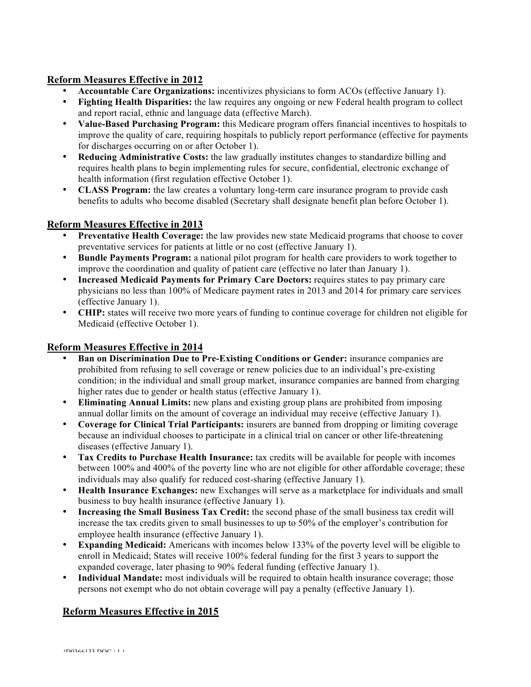## **Reform Measures Effective in 2012**

- **Accountable Care Organizations:** incentivizes physicians to form ACOs (effective January 1).<br>• **Fighting Health Disnarities:** the law requires any ongoing or new Federal health program to col
- **Fighting Health Disparities:** the law requires any ongoing or new Federal health program to collect and report racial, ethnic and language data (effective March).
- **Value-Based Purchasing Program:** this Medicare program offers financial incentives to hospitals to improve the quality of care, requiring hospitals to publicly report performance (effective for payments for discharges occurring on or after October 1).
- **Reducing Administrative Costs:** the law gradually institutes changes to standardize billing and requires health plans to begin implementing rules for secure, confidential, electronic exchange of health information (first regulation effective October 1).
- **CLASS Program:** the law creates a voluntary long-term care insurance program to provide cash benefits to adults who become disabled (Secretary shall designate benefit plan before October 1).

# **Reform Measures Effective in 2013**

- **Preventative Health Coverage:** the law provides new state Medicaid programs that choose to cover preventative services for patients at little or no cost (effective January 1).
- **Bundle Payments Program:** a national pilot program for health care providers to work together to improve the coordination and quality of patient care (effective no later than January 1).
- **Increased Medicaid Payments for Primary Care Doctors:** requires states to pay primary care physicians no less than 100% of Medicare payment rates in 2013 and 2014 for primary care services (effective January 1).
- **CHIP:** states will receive two more years of funding to continue coverage for children not eligible for Medicaid (effective October 1).

## **Reform Measures Effective in 2014**

- **Ban on Discrimination Due to Pre-Existing Conditions or Gender:** insurance companies are prohibited from refusing to sell coverage or renew policies due to an individual's pre-existing condition; in the individual and small group market, insurance companies are banned from charging higher rates due to gender or health status (effective January 1).
- **Eliminating Annual Limits:** new plans and existing group plans are prohibited from imposing annual dollar limits on the amount of coverage an individual may receive (effective January 1).
- **Coverage for Clinical Trial Participants:** insurers are banned from dropping or limiting coverage because an individual chooses to participate in a clinical trial on cancer or other life-threatening diseases (effective January 1).
- **Tax Credits to Purchase Health Insurance:** tax credits will be available for people with incomes between 100% and 400% of the poverty line who are not eligible for other affordable coverage; these individuals may also qualify for reduced cost-sharing (effective January 1).
- **Health Insurance Exchanges:** new Exchanges will serve as a marketplace for individuals and small business to buy health insurance (effective January 1).
- **Increasing the Small Business Tax Credit:** the second phase of the small business tax credit will increase the tax credits given to small businesses to up to 50% of the employer's contribution for employee health insurance (effective January 1).
- **Expanding Medicaid:** Americans with incomes below 133% of the poverty level will be eligible to enroll in Medicaid; States will receive 100% federal funding for the first 3 years to support the expanded coverage, later phasing to 90% federal funding (effective January 1).
- **Individual Mandate:** most individuals will be required to obtain health insurance coverage; those persons not exempt who do not obtain coverage will pay a penalty (effective January 1).

# **Reform Measures Effective in 2015**